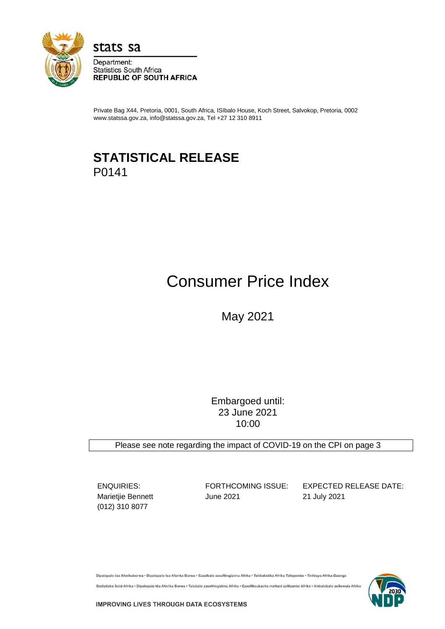

stats sa

Department: **Statistics South Africa REPUBLIC OF SOUTH AFRICA** 

Private Bag X44, Pretoria, 0001, South Africa, ISIbalo House, Koch Street, Salvokop, Pretoria, 0002 www.statssa.gov.za, info@statssa.gov.za, Tel +27 12 310 8911

## **STATISTICAL RELEASE** P0141

# Consumer Price Index

May 2021

Embargoed until: 23 June 2021 10:00

Please see note regarding the impact of COVID-19 on the CPI on page 3

(012) 310 8077

Marietjie Bennett June 2021 21 July 2021

ENQUIRIES: FORTHCOMING ISSUE: EXPECTED RELEASE DATE:

Dipalopalo tsa Aforikaborwa • Dipalopalo tsa Aforika Borwa • Ezazibalo zaseNingizimu Afrika • Tshitatistika Afrika Tshipembe • Tinhlayo Afrika-Dzonga

Statistieke Suid-Afrika • Dipalopalo tša Aforika Borwa • Telubalo zaseNingizimu Afrika • EzeeNkcukacha maNani zoMzantsi Afrika • limbalobalo zeSewula Afrika

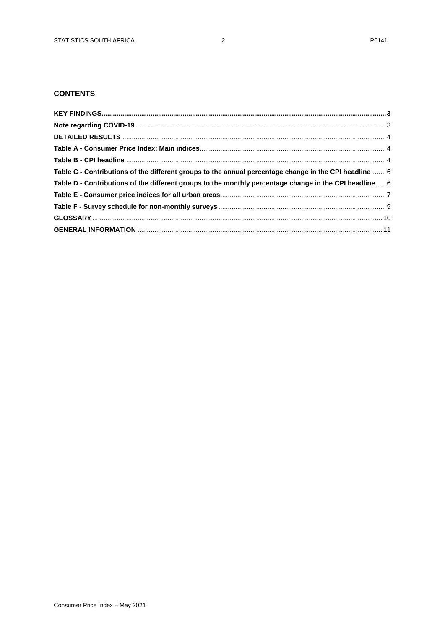## **CONTENTS**

| Table C - Contributions of the different groups to the annual percentage change in the CPI headline 6   |  |
|---------------------------------------------------------------------------------------------------------|--|
| Table D - Contributions of the different groups to the monthly percentage change in the CPI headline  6 |  |
|                                                                                                         |  |
|                                                                                                         |  |
|                                                                                                         |  |
|                                                                                                         |  |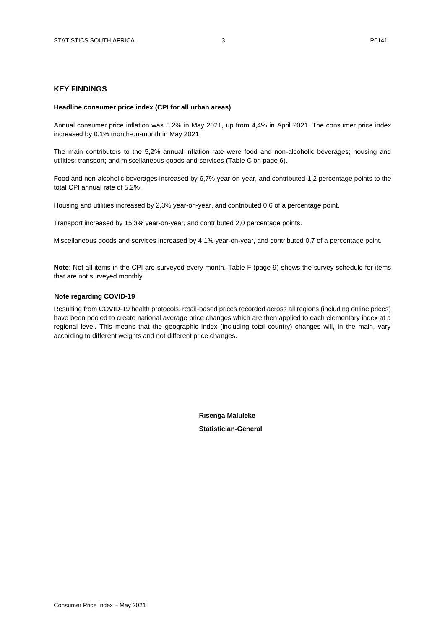## <span id="page-2-0"></span>**KEY FINDINGS**

#### **Headline consumer price index (CPI for all urban areas)**

Annual consumer price inflation was 5,2% in May 2021, up from 4,4% in April 2021. The consumer price index increased by 0,1% month-on-month in May 2021.

The main contributors to the 5,2% annual inflation rate were food and non-alcoholic beverages; housing and utilities; transport; and miscellaneous goods and services (Table C on page 6).

Food and non-alcoholic beverages increased by 6,7% year-on-year, and contributed 1,2 percentage points to the total CPI annual rate of 5,2%.

Housing and utilities increased by 2,3% year-on-year, and contributed 0,6 of a percentage point.

Transport increased by 15,3% year-on-year, and contributed 2,0 percentage points.

Miscellaneous goods and services increased by 4,1% year-on-year, and contributed 0,7 of a percentage point.

**Note**: Not all items in the CPI are surveyed every month. Table F (page 9) shows the survey schedule for items that are not surveyed monthly.

#### <span id="page-2-1"></span>**Note regarding COVID-19**

<span id="page-2-2"></span>Resulting from COVID-19 health protocols, retail-based prices recorded across all regions (including online prices) have been pooled to create national average price changes which are then applied to each elementary index at a regional level. This means that the geographic index (including total country) changes will, in the main, vary according to different weights and not different price changes.

> **Risenga Maluleke Statistician-General**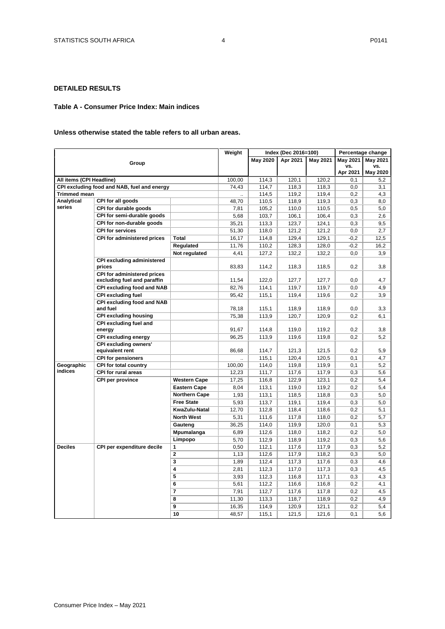## **DETAILED RESULTS**

## <span id="page-3-1"></span><span id="page-3-0"></span>**Table A - Consumer Price Index: Main indices**

## **Unless otherwise stated the table refers to all urban areas.**

|                          |                                                            |                         | Weight |          | Index (Dec 2016=100) |          |                 | Percentage change |
|--------------------------|------------------------------------------------------------|-------------------------|--------|----------|----------------------|----------|-----------------|-------------------|
|                          |                                                            |                         |        | May 2020 | Apr 2021             | May 2021 | <b>May 2021</b> | May 2021          |
|                          | Group                                                      |                         |        |          |                      |          | VS.             | vs.               |
|                          |                                                            |                         |        |          |                      |          | Apr 2021        | May 2020          |
| All items (CPI Headline) |                                                            |                         | 100,00 | 114,3    | 120.1                | 120.2    | 0.1             | 5,2               |
|                          | CPI excluding food and NAB, fuel and energy                |                         | 74,43  | 114,7    | 118,3                | 118,3    | 0,0             | 3,1               |
| <b>Trimmed mean</b>      |                                                            |                         |        | 114,5    | 119,2                | 119,4    | 0,2             | 4,3               |
| <b>Analytical</b>        | CPI for all goods                                          |                         | 48,70  | 110,5    | 118,9                | 119,3    | 0,3             | 8,0               |
| series                   | CPI for durable goods                                      |                         | 7,81   | 105,2    | 110,0                | 110,5    | 0,5             | 5,0               |
|                          | CPI for semi-durable goods                                 |                         | 5,68   | 103,7    | 106,1                | 106,4    | 0,3             | 2,6               |
|                          | CPI for non-durable goods                                  |                         | 35,21  | 113,3    | 123,7                | 124,1    | 0,3             | 9,5               |
|                          | <b>CPI for services</b>                                    |                         | 51,30  | 118,0    | 121,2                | 121,2    | 0,0             | 2,7               |
|                          | CPI for administered prices                                | Total                   | 16,17  | 114,8    | 129,4                | 129,1    | $-0,2$          | 12,5              |
|                          |                                                            | Regulated               | 11,76  | 110,2    | 128,3                | 128,0    | $-0,2$          | 16,2              |
|                          |                                                            | Not regulated           | 4,41   | 127,2    | 132,2                | 132,2    | 0,0             | 3,9               |
|                          | <b>CPI excluding administered</b><br>prices                |                         | 83,83  | 114,2    | 118,3                | 118,5    | 0,2             | 3,8               |
|                          | CPI for administered prices<br>excluding fuel and paraffin |                         | 11,54  | 122,0    | 127.7                | 127.7    | 0.0             | 4,7               |
|                          | CPI excluding food and NAB                                 |                         | 82,76  | 114,1    | 119,7                | 119,7    | 0,0             | 4,9               |
|                          | <b>CPI excluding fuel</b>                                  |                         | 95,42  | 115,1    | 119,4                | 119,6    | 0,2             | 3,9               |
|                          | <b>CPI excluding food and NAB</b><br>and fuel              |                         | 78,18  | 115,1    | 118,9                | 118,9    | 0,0             | 3,3               |
|                          | <b>CPI excluding housing</b>                               |                         | 75,38  | 113,9    | 120,7                | 120,9    | 0.2             | 6,1               |
|                          | CPI excluding fuel and                                     |                         |        |          |                      |          |                 |                   |
|                          | energy                                                     |                         | 91,67  | 114,8    | 119,0                | 119,2    | 0,2             | 3,8               |
|                          | <b>CPI</b> excluding energy                                |                         | 96,25  | 113,9    | 119,6                | 119,8    | 0,2             | 5,2               |
|                          | <b>CPI excluding owners'</b>                               |                         |        |          |                      |          |                 |                   |
|                          | equivalent rent                                            |                         | 86,68  | 114,7    | 121,3                | 121,5    | 0,2             | 5,9               |
|                          | <b>CPI for pensioners</b>                                  |                         |        | 115,1    | 120,4                | 120,5    | 0,1             | 4,7               |
| Geographic               | CPI for total country                                      |                         | 100,00 | 114,0    | 119,8                | 119,9    | 0,1             | 5,2               |
| indices                  | <b>CPI for rural areas</b>                                 |                         | 12,23  | 111,7    | 117,6                | 117,9    | 0,3             | 5,6               |
|                          | CPI per province                                           | <b>Western Cape</b>     | 17,25  | 116,8    | 122,9                | 123,1    | 0,2             | 5,4               |
|                          |                                                            | <b>Eastern Cape</b>     | 8,04   | 113,1    | 119,0                | 119,2    | 0,2             | 5,4               |
|                          |                                                            | Northern Cape           | 1,93   | 113,1    | 118,5                | 118,8    | 0,3             | 5,0               |
|                          |                                                            | <b>Free State</b>       | 5,93   | 113,7    | 119,1                | 119,4    | 0,3             | 5,0               |
|                          |                                                            | KwaZulu-Natal           | 12,70  | 112,8    | 118,4                | 118,6    | 0,2             | 5,1               |
|                          |                                                            | <b>North West</b>       | 5,31   | 111,6    | 117,8                | 118,0    | 0,2             | 5,7               |
|                          |                                                            | Gauteng                 | 36,25  | 114,0    | 119,9                | 120,0    | 0,1             | 5,3               |
|                          |                                                            | Mpumalanga              | 6,89   | 112,6    | 118,0                | 118,2    | 0,2             | 5,0               |
|                          |                                                            | Limpopo                 | 5,70   | 112,9    | 118,9                | 119,2    | 0,3             | 5,6               |
| <b>Deciles</b>           | CPI per expenditure decile                                 | $\mathbf{1}$            | 0,50   | 112,1    | 117,6                | 117,9    | 0,3             | 5,2               |
|                          |                                                            | $\overline{2}$          | 1,13   | 112,6    | 117,9                | 118,2    | 0,3             | 5,0               |
|                          |                                                            | $\overline{\mathbf{3}}$ | 1,89   | 112,4    | 117,3                | 117,6    | 0,3             | 4,6               |
|                          |                                                            | 4                       | 2,81   | 112,3    | 117,0                | 117,3    | 0,3             | 4,5               |
|                          |                                                            | $\overline{5}$          | 3,93   | 112,3    | 116,8                | 117,1    | 0,3             | 4,3               |
|                          |                                                            | 6                       | 5,61   | 112,2    | 116,6                | 116,8    | 0,2             | 4,1               |
|                          |                                                            | 7                       | 7,91   | 112,7    | 117,6                | 117,8    | 0,2             | 4,5               |
|                          |                                                            | 8                       | 11,30  | 113,3    | 118,7                | 118,9    | 0,2             | 4,9               |
|                          |                                                            | 9                       | 16,35  | 114,9    | 120,9                | 121,1    | 0,2             | 5,4               |
|                          |                                                            | 10                      | 48,57  | 115,1    | 121,5                | 121,6    | 0,1             | 5,6               |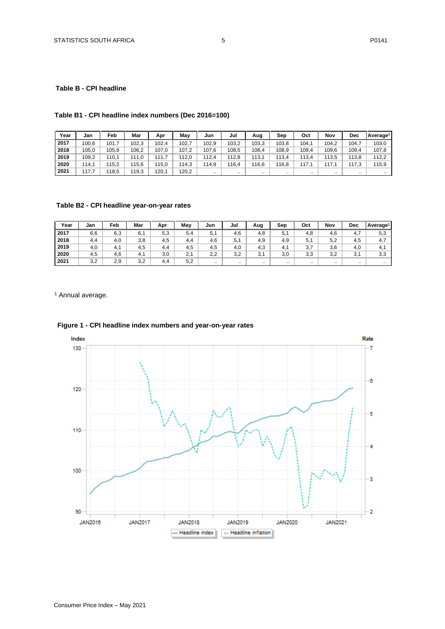## **Table B - CPI headline**

## **Table B1 - CPI headline index numbers (Dec 2016=100)**

| Year | Jan   | Feb   | Mar   | Apr   | Mav   | Jun       | Jul      | Aug   | Sep      | Oct   | Nov       | Dec     | l Averaɑe <sup>1</sup> |
|------|-------|-------|-------|-------|-------|-----------|----------|-------|----------|-------|-----------|---------|------------------------|
| 2017 | 100.6 | 101,  | 102.3 | 102.4 | 102.  | 102.9     | 103.2    | 103.3 | 103.8    | 104.1 | 104.2     | 104.    | 103,0                  |
| 2018 | 105.0 | 105.8 | 106.2 | 107.0 | 107.2 | 107.6     | 108.5    | 108,4 | 108.9    | 109.4 | 109.6     | 109,4   | 107.8                  |
| 2019 | 109.2 | 110.1 | 111.0 | 111,7 | 112.0 | 112.4     | 12.8     | 113.1 | 13.4     | 113.4 | 113.5     | 13.8    | 112.2                  |
| 2020 | 114.1 | 115.2 | 115.6 | 15,0  | 114,3 | 114.9     | 16.4     | 116.6 | 16.8     | 117.1 | 117       | 17.3    | 115,9                  |
| 2021 | 117.7 | 118.5 | 119,3 | 120,1 | 120.2 | $\cdot$ . | $\cdots$ |       | $\cdots$ |       | $\cdot$ . | $\cdot$ | $\cdots$               |

## **Table B2 - CPI headline year-on-year rates**

| Year | Jan | Feb | Mar | Apr | May | Jun | Jul | Aug | Sep       | Oct | Nov       | <b>Dec</b>           | Average <sup>1</sup> |
|------|-----|-----|-----|-----|-----|-----|-----|-----|-----------|-----|-----------|----------------------|----------------------|
| 2017 | 6,6 | 6,3 | 6,1 | 5,3 | 5.4 | 5,1 | 4.6 | 4,8 | 5.1       | 4.8 | 4,6       | 4.7                  | 5,3                  |
| 2018 | 4.4 | 4.0 | 3,8 | 4.5 | 4.4 | 4,6 | 5,1 | 4.9 | 4,9       | 5,1 | 5,2       | 4,5                  | 4.7                  |
| 2019 | 4,0 | 4.1 | 4,5 | 4.4 | 4,5 | 4,5 | 4.0 | 4.3 | 4.1       | 3,7 | 3,6       | 4,0                  | 4.1                  |
| 2020 | 4.5 | 4.6 | 4.1 | 3.0 | 2.1 | 2.2 | 3.2 | 3.1 | 3,0       | 3.3 | 3,2       | 2 <sub>1</sub><br>J. | 3,3                  |
| 2021 | 3,2 | 2,9 | 3,2 | 4.4 | 5,2 |     |     |     | $\cdot$ . |     | $\cdot$ . | $\cdot$ .            | $\cdots$             |

<sup>1</sup> Annual average.



## **Figure 1 - CPI headline index numbers and year-on-year rates**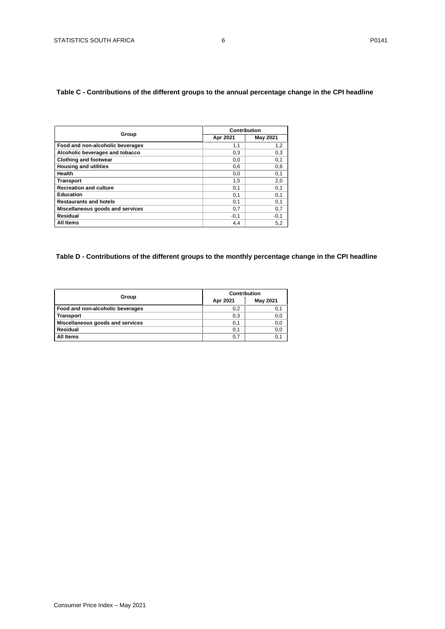## <span id="page-5-1"></span><span id="page-5-0"></span>**Table C - Contributions of the different groups to the annual percentage change in the CPI headline**

|                                  | Contribution |                 |  |  |  |
|----------------------------------|--------------|-----------------|--|--|--|
| Group                            | Apr 2021     | <b>May 2021</b> |  |  |  |
| Food and non-alcoholic beverages | 1,1          | 1,2             |  |  |  |
| Alcoholic beverages and tobacco  | 0,3          | 0,3             |  |  |  |
| <b>Clothing and footwear</b>     | 0,0          | 0,1             |  |  |  |
| <b>Housing and utilities</b>     | 0,6          | 0,6             |  |  |  |
| Health                           | 0,0          | 0,1             |  |  |  |
| <b>Transport</b>                 | 1,5          | 2,0             |  |  |  |
| <b>Recreation and culture</b>    | 0,1          | 0,1             |  |  |  |
| <b>Education</b>                 | 0,1          | 0,1             |  |  |  |
| <b>Restaurants and hotels</b>    | 0,1          | 0,1             |  |  |  |
| Miscellaneous goods and services | 0,7          | 0,7             |  |  |  |
| Residual                         | $-0,1$       | $-0,1$          |  |  |  |
| All Items                        | 4,4          | 5,2             |  |  |  |

## **Table D - Contributions of the different groups to the monthly percentage change in the CPI headline**

| Group                            | Contribution |          |  |  |  |
|----------------------------------|--------------|----------|--|--|--|
|                                  | Apr 2021     | May 2021 |  |  |  |
| Food and non-alcoholic beverages | 0,2          | 0,1      |  |  |  |
| <b>Transport</b>                 | 0,3          | 0,0      |  |  |  |
| Miscellaneous goods and services | 0,1          | 0,0      |  |  |  |
| Residual                         | 0,1          | 0,0      |  |  |  |
| All Items                        | 0,7          | 0,1      |  |  |  |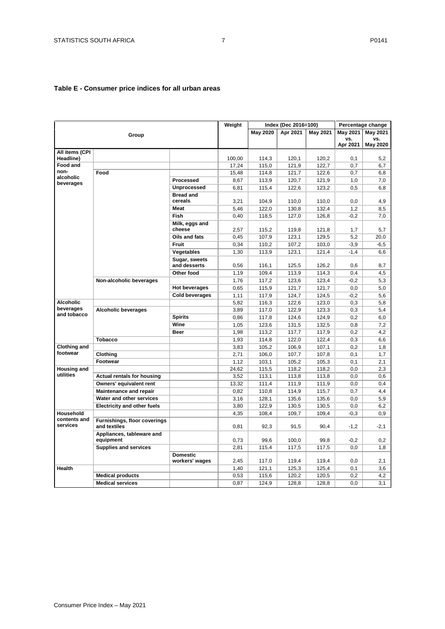## <span id="page-6-0"></span>**Table E - Consumer price indices for all urban areas**

|                                 |                                              |                                   | Weight |                 | Index (Dec 2016=100) |                 |                 | Percentage change |
|---------------------------------|----------------------------------------------|-----------------------------------|--------|-----------------|----------------------|-----------------|-----------------|-------------------|
|                                 |                                              |                                   |        | <b>May 2020</b> | Apr 2021             | <b>May 2021</b> | <b>May 2021</b> | May 2021          |
|                                 | Group                                        |                                   |        |                 |                      |                 | VS.             | VS.               |
|                                 |                                              |                                   |        |                 |                      |                 | Apr 2021        | May 2020          |
| All items (CPI                  |                                              |                                   |        |                 |                      |                 |                 |                   |
| Headline)                       |                                              |                                   | 100,00 | 114.3           | 120.1                | 120.2           | 0.1             | 5.2               |
| Food and                        |                                              |                                   | 17,24  | 115,0           | 121,9                | 122,7           | 0,7             | 6,7               |
| non-<br>alcoholic               | Food                                         |                                   | 15,48  | 114,8           | 121,7                | 122,6           | 0,7             | 6,8               |
| beverages                       |                                              | Processed                         | 8,67   | 113,9           | 120,7                | 121,9           | 1,0             | 7,0               |
|                                 |                                              | Unprocessed                       | 6,81   | 115,4           | 122,6                | 123.2           | 0,5             | 6.8               |
|                                 |                                              | <b>Bread and</b><br>cereals       | 3,21   | 104,9           | 110,0                | 110,0           | 0,0             | 4,9               |
|                                 |                                              | <b>Meat</b>                       | 5,46   | 122,0           | 130,8                | 132,4           | 1,2             | 8,5               |
|                                 |                                              | Fish                              | 0,40   | 118,5           | 127,0                | 126,8           | $-0,2$          | 7.0               |
|                                 |                                              | Milk, eggs and<br>cheese          | 2,57   | 115,2           | 119,8                | 121,8           | 1,7             | 5,7               |
|                                 |                                              | Oils and fats                     | 0,45   | 107,9           | 123,1                | 129,5           | 5,2             | 20,0              |
|                                 |                                              | <b>Fruit</b>                      | 0,34   | 110,2           | 107,2                | 103,0           | $-3,9$          | $-6,5$            |
|                                 |                                              | Vegetables                        | 1,30   | 113,9           | 123,1                | 121,4           | $-1,4$          | 6,6               |
|                                 |                                              | Sugar, sweets<br>and desserts     | 0,56   | 116,1           | 125,5                | 126,2           | 0,6             | 8,7               |
|                                 |                                              | Other food                        | 1,19   | 109,4           | 113,9                | 114,3           | 0,4             | 4,5               |
|                                 | Non-alcoholic beverages                      |                                   | 1,76   | 117,2           | 123,6                | 123,4           | $-0,2$          | 5,3               |
|                                 |                                              | <b>Hot beverages</b>              |        | 115,9           | 121,7                | 121,7           |                 |                   |
|                                 |                                              |                                   | 0,65   |                 |                      |                 | 0,0             | 5,0               |
|                                 |                                              | <b>Cold beverages</b>             | 1.11   | 117.9           | 124.7                | 124.5           | $-0.2$          | 5.6               |
| <b>Alcoholic</b><br>beverages   |                                              |                                   | 5,82   | 116,3           | 122,6                | 123,0           | 0,3             | 5,8               |
| and tobacco                     | <b>Alcoholic beverages</b>                   |                                   | 3,89   | 117,0           | 122,9                | 123,3           | 0,3             | 5.4               |
|                                 |                                              | <b>Spirits</b>                    | 0,86   | 117,8           | 124,6                | 124,9           | 0,2             | 6,0               |
|                                 |                                              | Wine                              | 1,05   | 123,6           | 131,5                | 132,5           | 0,8             | 7,2               |
|                                 |                                              | <b>Beer</b>                       | 1,98   | 113,2           | 117,7                | 117,9           | 0,2             | 4,2               |
|                                 | <b>Tobacco</b>                               |                                   | 1,93   | 114,8           | 122,0                | 122,4           | 0,3             | 6,6               |
| <b>Clothing and</b><br>footwear |                                              |                                   | 3,83   | 105,2           | 106,9                | 107,1           | 0,2             | 1,8               |
|                                 | Clothing                                     |                                   | 2,71   | 106,0           | 107,7                | 107,8           | 0,1             | 1,7               |
|                                 | Footwear                                     |                                   | 1,12   | 103,1           | 105,2                | 105,3           | 0,1             | 2,1               |
| <b>Housing and</b>              |                                              |                                   | 24,62  | 115,5           | 118,2                | 118,2           | 0,0             | 2,3               |
| utilities                       | <b>Actual rentals for housing</b>            |                                   | 3,52   | 113,1           | 113,8                | 113,8           | 0,0             | 0,6               |
|                                 | Owners' equivalent rent                      |                                   | 13,32  | 111,4           | 111,9                | 111,9           | 0,0             | 0,4               |
|                                 | <b>Maintenance and repair</b>                |                                   | 0.82   | 110,8           | 114,9                | 115,7           | 0.7             | 4,4               |
|                                 | Water and other services                     |                                   | 3,16   | 128,1           | 135,6                | 135,6           | 0,0             | 5,9               |
|                                 | <b>Electricity and other fuels</b>           |                                   | 3,80   | 122,9           | 130,5                | 130,5           | 0,0             | 6,2               |
| Household                       |                                              |                                   | 4,35   | 108,4           | 109,7                | 109,4           | $-0.3$          | 0,9               |
| contents and<br>services        | Furnishings, floor coverings<br>and textiles |                                   | 0,81   | 92,3            | 91,5                 | 90,4            | $-1,2$          | $-2,1$            |
|                                 | Appliances, tableware and<br>equipment       |                                   | 0,73   | 99.6            | 100,0                | 99.8            | $-0,2$          | 0,2               |
|                                 | <b>Supplies and services</b>                 |                                   | 2,81   | 115,4           | 117,5                | 117,5           | 0,0             | 1,8               |
|                                 |                                              | <b>Domestic</b><br>workers' wages | 2,45   | 117,0           | 119,4                | 119,4           | 0.0             | 2.1               |
| <b>Health</b>                   |                                              |                                   | 1,40   | 121,1           | 125,3                | 125,4           | 0,1             | 3,6               |
|                                 | <b>Medical products</b>                      |                                   | 0,53   | 115,6           | 120,2                | 120,5           | 0.2             | 4,2               |
|                                 | <b>Medical services</b>                      |                                   | 0,87   | 124,9           | 128,8                | 128,8           | 0,0             | 3,1               |
|                                 |                                              |                                   |        |                 |                      |                 |                 |                   |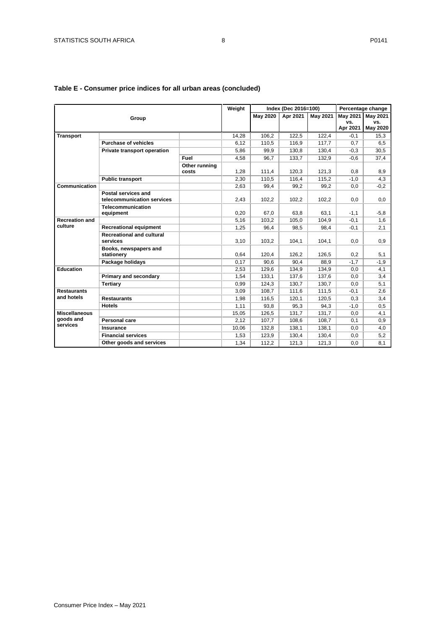|                                               |                                                   |                        | Weight |                 | Index (Dec 2016=100) |                 |                 | Percentage change      |
|-----------------------------------------------|---------------------------------------------------|------------------------|--------|-----------------|----------------------|-----------------|-----------------|------------------------|
|                                               | Group                                             |                        |        | <b>May 2020</b> | Apr 2021             | <b>May 2021</b> | <b>May 2021</b> | May 2021               |
|                                               |                                                   |                        |        |                 |                      |                 | VS.<br>Apr 2021 | VS.<br><b>May 2020</b> |
| <b>Transport</b>                              |                                                   |                        | 14.28  | 106.2           | 122.5                | 122.4           | $-0,1$          | 15,3                   |
|                                               | <b>Purchase of vehicles</b>                       |                        | 6,12   | 110,5           | 116,9                | 117,7           | 0,7             | 6,5                    |
|                                               | Private transport operation                       |                        | 5,86   | 99,9            | 130,8                | 130,4           | $-0.3$          | 30,5                   |
|                                               |                                                   | Fuel                   | 4.58   | 96.7            | 133.7                | 132.9           | $-0.6$          | 37.4                   |
|                                               |                                                   | Other running<br>costs | 1.28   | 111.4           | 120.3                | 121.3           | 0.8             | 8,9                    |
|                                               | <b>Public transport</b>                           |                        | 2.30   | 110.5           | 116.4                | 115.2           | $-1.0$          | 4,3                    |
| Communication                                 |                                                   |                        | 2,63   | 99,4            | 99,2                 | 99,2            | 0,0             | $-0,2$                 |
|                                               | Postal services and<br>telecommunication services |                        | 2.43   | 102.2           | 102.2                | 102.2           | 0.0             | 0.0                    |
|                                               | Telecommunication<br>equipment                    |                        | 0,20   | 67.0            | 63.8                 | 63.1            | $-1,1$          | $-5,8$                 |
| <b>Recreation and</b>                         |                                                   |                        | 5,16   | 103,2           | 105,0                | 104.9           | $-0,1$          | 1,6                    |
| culture                                       | <b>Recreational equipment</b>                     |                        | 1,25   | 96.4            | 98,5                 | 98.4            | $-0,1$          | 2,1                    |
|                                               | <b>Recreational and cultural</b><br>services      |                        | 3,10   | 103.2           | 104,1                | 104,1           | 0.0             | 0,9                    |
|                                               | Books, newspapers and<br>stationery               |                        | 0.64   | 120.4           | 126.2                | 126.5           | 0,2             | 5,1                    |
|                                               | Package holidays                                  |                        | 0,17   | 90.6            | 90.4                 | 88,9            | $-1,7$          | $-1,9$                 |
| <b>Education</b>                              |                                                   |                        | 2,53   | 129,6           | 134,9                | 134.9           | 0,0             | 4,1                    |
|                                               | Primary and secondary                             |                        | 1.54   | 133.1           | 137,6                | 137,6           | 0,0             | 3,4                    |
|                                               | <b>Tertiary</b>                                   |                        | 0.99   | 124.3           | 130.7                | 130.7           | 0.0             | 5,1                    |
| <b>Restaurants</b>                            |                                                   |                        | 3,09   | 108.7           | 111,6                | 111,5           | $-0,1$          | 2,6                    |
| and hotels                                    | <b>Restaurants</b>                                |                        | 1.98   | 116.5           | 120.1                | 120.5           | 0.3             | 3,4                    |
|                                               | <b>Hotels</b>                                     |                        | 1,11   | 93,8            | 95,3                 | 94,3            | $-1,0$          | 0,5                    |
| <b>Miscellaneous</b><br>goods and<br>services |                                                   |                        | 15,05  | 126,5           | 131,7                | 131,7           | 0,0             | 4,1                    |
|                                               | Personal care                                     |                        | 2,12   | 107,7           | 108,6                | 108,7           | 0,1             | 0,9                    |
|                                               | <b>Insurance</b>                                  |                        | 10,06  | 132,8           | 138,1                | 138,1           | 0,0             | 4,0                    |
|                                               | <b>Financial services</b>                         |                        | 1,53   | 123,9           | 130,4                | 130,4           | 0,0             | 5,2                    |
|                                               | Other goods and services                          |                        | 1.34   | 112.2           | 121.3                | 121.3           | 0.0             | 8.1                    |

## **Table E - Consumer price indices for all urban areas (concluded)**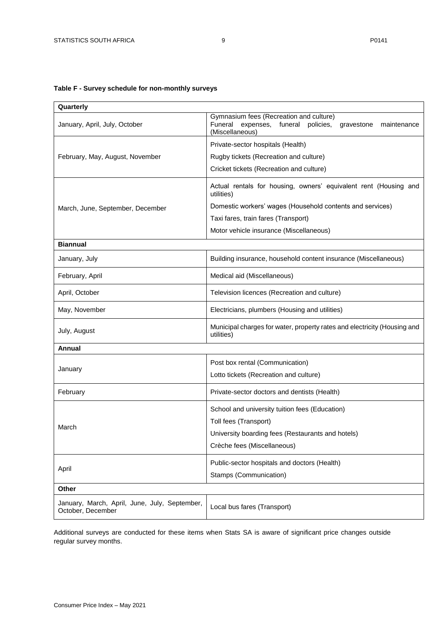## <span id="page-8-0"></span>**Table F - Survey schedule for non-monthly surveys**

| Quarterly                                                          |                                                                                                                                      |  |  |  |  |  |
|--------------------------------------------------------------------|--------------------------------------------------------------------------------------------------------------------------------------|--|--|--|--|--|
| January, April, July, October                                      | Gymnasium fees (Recreation and culture)<br>Funeral<br>expenses, funeral<br>policies,<br>maintenance<br>gravestone<br>(Miscellaneous) |  |  |  |  |  |
|                                                                    | Private-sector hospitals (Health)                                                                                                    |  |  |  |  |  |
| February, May, August, November                                    | Rugby tickets (Recreation and culture)                                                                                               |  |  |  |  |  |
|                                                                    | Cricket tickets (Recreation and culture)                                                                                             |  |  |  |  |  |
|                                                                    | Actual rentals for housing, owners' equivalent rent (Housing and<br>utilities)                                                       |  |  |  |  |  |
| March, June, September, December                                   | Domestic workers' wages (Household contents and services)                                                                            |  |  |  |  |  |
|                                                                    | Taxi fares, train fares (Transport)                                                                                                  |  |  |  |  |  |
|                                                                    | Motor vehicle insurance (Miscellaneous)                                                                                              |  |  |  |  |  |
| <b>Biannual</b>                                                    |                                                                                                                                      |  |  |  |  |  |
| January, July                                                      | Building insurance, household content insurance (Miscellaneous)                                                                      |  |  |  |  |  |
| February, April                                                    | Medical aid (Miscellaneous)                                                                                                          |  |  |  |  |  |
| April, October                                                     | Television licences (Recreation and culture)                                                                                         |  |  |  |  |  |
| May, November                                                      | Electricians, plumbers (Housing and utilities)                                                                                       |  |  |  |  |  |
| July, August                                                       | Municipal charges for water, property rates and electricity (Housing and<br>utilities)                                               |  |  |  |  |  |
| Annual                                                             |                                                                                                                                      |  |  |  |  |  |
|                                                                    | Post box rental (Communication)                                                                                                      |  |  |  |  |  |
| January                                                            | Lotto tickets (Recreation and culture)                                                                                               |  |  |  |  |  |
| February                                                           | Private-sector doctors and dentists (Health)                                                                                         |  |  |  |  |  |
|                                                                    | School and university tuition fees (Education)                                                                                       |  |  |  |  |  |
| March                                                              | Toll fees (Transport)                                                                                                                |  |  |  |  |  |
|                                                                    | University boarding fees (Restaurants and hotels)                                                                                    |  |  |  |  |  |
|                                                                    | Crèche fees (Miscellaneous)                                                                                                          |  |  |  |  |  |
|                                                                    | Public-sector hospitals and doctors (Health)                                                                                         |  |  |  |  |  |
| April                                                              | Stamps (Communication)                                                                                                               |  |  |  |  |  |
| Other                                                              |                                                                                                                                      |  |  |  |  |  |
| January, March, April, June, July, September,<br>October, December | Local bus fares (Transport)                                                                                                          |  |  |  |  |  |

Additional surveys are conducted for these items when Stats SA is aware of significant price changes outside regular survey months.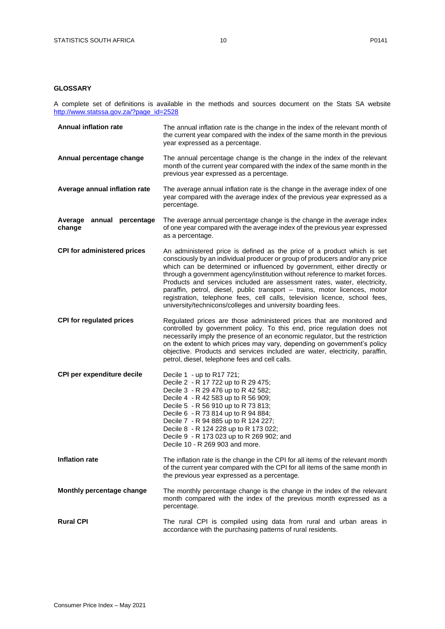## <span id="page-9-0"></span>**GLOSSARY**

A complete set of definitions is available in the methods and sources document on the Stats SA website [http://www.statssa.gov.za/?page\\_id=2528](http://www.statssa.gov.za/?page_id=2528)

| <b>Annual inflation rate</b>        | The annual inflation rate is the change in the index of the relevant month of<br>the current year compared with the index of the same month in the previous<br>year expressed as a percentage.                                                                                                                                                                                                                                                                                                                                                                                                                            |
|-------------------------------------|---------------------------------------------------------------------------------------------------------------------------------------------------------------------------------------------------------------------------------------------------------------------------------------------------------------------------------------------------------------------------------------------------------------------------------------------------------------------------------------------------------------------------------------------------------------------------------------------------------------------------|
| Annual percentage change            | The annual percentage change is the change in the index of the relevant<br>month of the current year compared with the index of the same month in the<br>previous year expressed as a percentage.                                                                                                                                                                                                                                                                                                                                                                                                                         |
| Average annual inflation rate       | The average annual inflation rate is the change in the average index of one<br>year compared with the average index of the previous year expressed as a<br>percentage.                                                                                                                                                                                                                                                                                                                                                                                                                                                    |
| Average annual percentage<br>change | The average annual percentage change is the change in the average index<br>of one year compared with the average index of the previous year expressed<br>as a percentage.                                                                                                                                                                                                                                                                                                                                                                                                                                                 |
| <b>CPI for administered prices</b>  | An administered price is defined as the price of a product which is set<br>consciously by an individual producer or group of producers and/or any price<br>which can be determined or influenced by government, either directly or<br>through a government agency/institution without reference to market forces.<br>Products and services included are assessment rates, water, electricity,<br>paraffin, petrol, diesel, public transport - trains, motor licences, motor<br>registration, telephone fees, cell calls, television licence, school fees,<br>university/technicons/colleges and university boarding fees. |
| <b>CPI for regulated prices</b>     | Regulated prices are those administered prices that are monitored and<br>controlled by government policy. To this end, price regulation does not<br>necessarily imply the presence of an economic regulator, but the restriction<br>on the extent to which prices may vary, depending on government's policy<br>objective. Products and services included are water, electricity, paraffin,<br>petrol, diesel, telephone fees and cell calls.                                                                                                                                                                             |
| CPI per expenditure decile          | Decile 1 - up to R17 721;<br>Decile 2 - R 17 722 up to R 29 475;<br>Decile 3 - R 29 476 up to R 42 582;<br>Decile 4 - R 42 583 up to R 56 909;<br>Decile 5 - R 56 910 up to R 73 813;<br>Decile 6 - R 73 814 up to R 94 884;<br>Decile 7 - R 94 885 up to R 124 227;<br>Decile 8 - R 124 228 up to R 173 022;<br>Decile 9 - R 173 023 up to R 269 902; and<br>Decile 10 - R 269 903 and more.                                                                                                                                                                                                                             |
| <b>Inflation rate</b>               | The inflation rate is the change in the CPI for all items of the relevant month<br>of the current year compared with the CPI for all items of the same month in<br>the previous year expressed as a percentage.                                                                                                                                                                                                                                                                                                                                                                                                           |
| Monthly percentage change           | The monthly percentage change is the change in the index of the relevant<br>month compared with the index of the previous month expressed as a<br>percentage.                                                                                                                                                                                                                                                                                                                                                                                                                                                             |
| <b>Rural CPI</b>                    | The rural CPI is compiled using data from rural and urban areas in<br>accordance with the purchasing patterns of rural residents.                                                                                                                                                                                                                                                                                                                                                                                                                                                                                         |